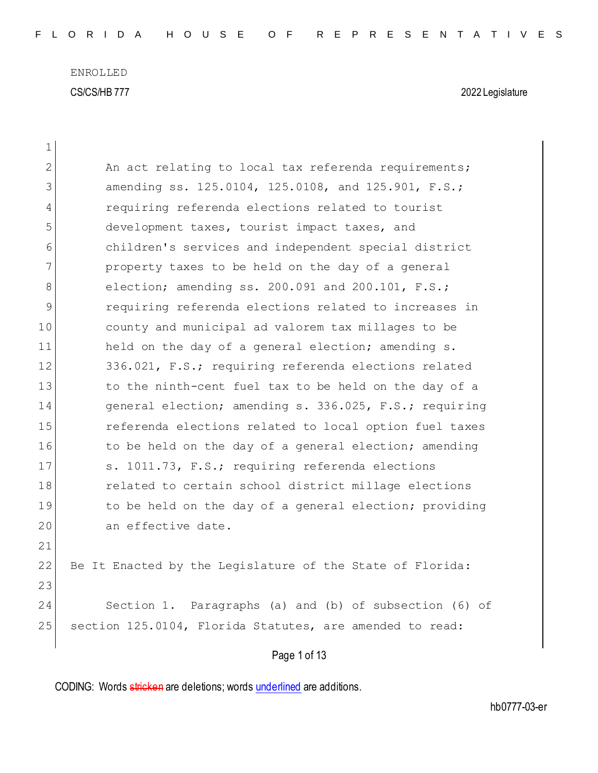| 1            |                                                           |  |  |  |  |  |  |  |
|--------------|-----------------------------------------------------------|--|--|--|--|--|--|--|
| $\mathbf{2}$ | An act relating to local tax referenda requirements;      |  |  |  |  |  |  |  |
| 3            | amending ss. 125.0104, 125.0108, and 125.901, F.S.;       |  |  |  |  |  |  |  |
| 4            | requiring referenda elections related to tourist          |  |  |  |  |  |  |  |
| 5            | development taxes, tourist impact taxes, and              |  |  |  |  |  |  |  |
| 6            | children's services and independent special district      |  |  |  |  |  |  |  |
| 7            | property taxes to be held on the day of a general         |  |  |  |  |  |  |  |
| 8            | election; amending ss. 200.091 and 200.101, F.S.;         |  |  |  |  |  |  |  |
| 9            | requiring referenda elections related to increases in     |  |  |  |  |  |  |  |
| 10           | county and municipal ad valorem tax millages to be        |  |  |  |  |  |  |  |
| 11           | held on the day of a general election; amending s.        |  |  |  |  |  |  |  |
| 12           | 336.021, F.S.; requiring referenda elections related      |  |  |  |  |  |  |  |
| 13           | to the ninth-cent fuel tax to be held on the day of a     |  |  |  |  |  |  |  |
| 14           | general election; amending s. 336.025, F.S.; requiring    |  |  |  |  |  |  |  |
| 15           | referenda elections related to local option fuel taxes    |  |  |  |  |  |  |  |
| 16           | to be held on the day of a general election; amending     |  |  |  |  |  |  |  |
| 17           | s. 1011.73, F.S.; requiring referenda elections           |  |  |  |  |  |  |  |
| 18           | related to certain school district millage elections      |  |  |  |  |  |  |  |
| 19           | to be held on the day of a general election; providing    |  |  |  |  |  |  |  |
| 20           | an effective date.                                        |  |  |  |  |  |  |  |
| 21           |                                                           |  |  |  |  |  |  |  |
| 22           | Be It Enacted by the Legislature of the State of Florida: |  |  |  |  |  |  |  |
| 23           |                                                           |  |  |  |  |  |  |  |
| 24           | Section 1. Paragraphs (a) and (b) of subsection (6) of    |  |  |  |  |  |  |  |
| 25           | section 125.0104, Florida Statutes, are amended to read:  |  |  |  |  |  |  |  |
| Page 1 of 13 |                                                           |  |  |  |  |  |  |  |
|              |                                                           |  |  |  |  |  |  |  |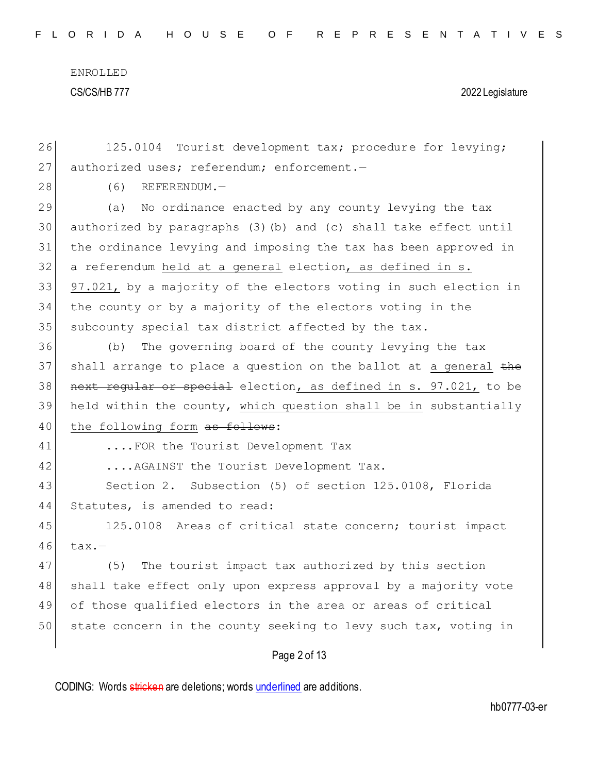| 26 | 125.0104 Tourist development tax; procedure for levying;         |  |  |  |  |  |  |  |  |
|----|------------------------------------------------------------------|--|--|--|--|--|--|--|--|
| 27 | authorized uses; referendum; enforcement.-                       |  |  |  |  |  |  |  |  |
| 28 | (6)<br>$REFERENDUM.$ —                                           |  |  |  |  |  |  |  |  |
| 29 | No ordinance enacted by any county levying the tax<br>(a)        |  |  |  |  |  |  |  |  |
| 30 | authorized by paragraphs (3) (b) and (c) shall take effect until |  |  |  |  |  |  |  |  |
| 31 | the ordinance levying and imposing the tax has been approved in  |  |  |  |  |  |  |  |  |
| 32 | a referendum held at a general election, as defined in s.        |  |  |  |  |  |  |  |  |
| 33 | 97.021, by a majority of the electors voting in such election in |  |  |  |  |  |  |  |  |
| 34 | the county or by a majority of the electors voting in the        |  |  |  |  |  |  |  |  |
| 35 | subcounty special tax district affected by the tax.              |  |  |  |  |  |  |  |  |
| 36 | The governing board of the county levying the tax<br>(b)         |  |  |  |  |  |  |  |  |
| 37 | shall arrange to place a question on the ballot at a general the |  |  |  |  |  |  |  |  |
| 38 | next reqular or special election, as defined in s. 97.021, to be |  |  |  |  |  |  |  |  |
| 39 | held within the county, which question shall be in substantially |  |  |  |  |  |  |  |  |
| 40 | the following form as follows:                                   |  |  |  |  |  |  |  |  |
| 41 | FOR the Tourist Development Tax                                  |  |  |  |  |  |  |  |  |
| 42 | AGAINST the Tourist Development Tax.                             |  |  |  |  |  |  |  |  |
| 43 | Section 2. Subsection (5) of section 125.0108, Florida           |  |  |  |  |  |  |  |  |
| 44 | Statutes, is amended to read:                                    |  |  |  |  |  |  |  |  |
| 45 | 125.0108 Areas of critical state concern; tourist impact         |  |  |  |  |  |  |  |  |
| 46 | $\texttt{tax.}$ -                                                |  |  |  |  |  |  |  |  |
| 47 | (5) The tourist impact tax authorized by this section            |  |  |  |  |  |  |  |  |
| 48 | shall take effect only upon express approval by a majority vote  |  |  |  |  |  |  |  |  |
| 49 | of those qualified electors in the area or areas of critical     |  |  |  |  |  |  |  |  |
| 50 | state concern in the county seeking to levy such tax, voting in  |  |  |  |  |  |  |  |  |
|    | Page 2 of 13                                                     |  |  |  |  |  |  |  |  |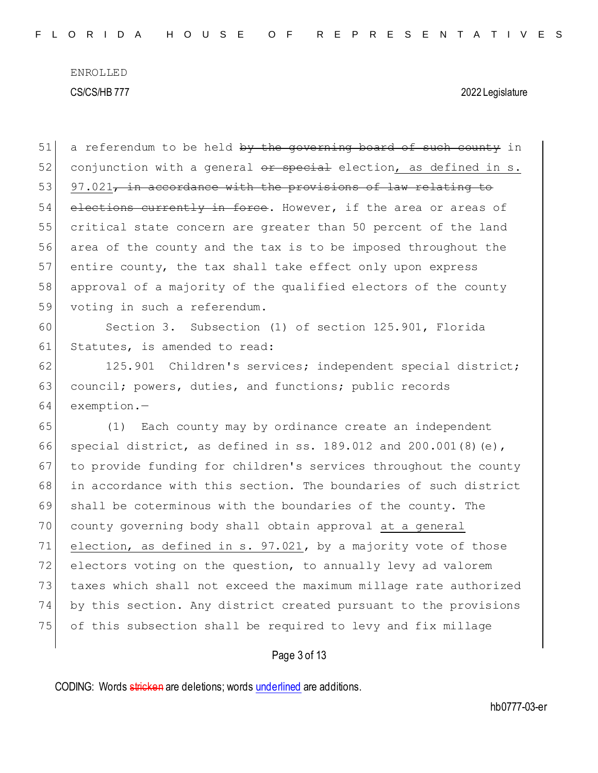$51$  a referendum to be held by the governing board of such county in 52 conjunction with a general  $\theta$  ar special election, as defined in s.  $53$  97.021, in accordance with the provisions of law relating to 54 elections currently in force. However, if the area or areas of 55 critical state concern are greater than 50 percent of the land 56 area of the county and the tax is to be imposed throughout the 57 entire county, the tax shall take effect only upon express 58 approval of a majority of the qualified electors of the county 59 voting in such a referendum. 60 Section 3. Subsection (1) of section 125.901, Florida 61 Statutes, is amended to read: 62 125.901 Children's services; independent special district; 63 council; powers, duties, and functions; public records 64 exemption.— 65 (1) Each county may by ordinance create an independent 66 special district, as defined in ss. 189.012 and 200.001(8)(e), 67 to provide funding for children's services throughout the county 68 in accordance with this section. The boundaries of such district 69 shall be coterminous with the boundaries of the county. The 70 county governing body shall obtain approval at a general 71 election, as defined in s. 97.021, by a majority vote of those 72 electors voting on the question, to annually levy ad valorem 73 taxes which shall not exceed the maximum millage rate authorized 74 by this section. Any district created pursuant to the provisions 75 of this subsection shall be required to levy and fix millage

Page 3 of 13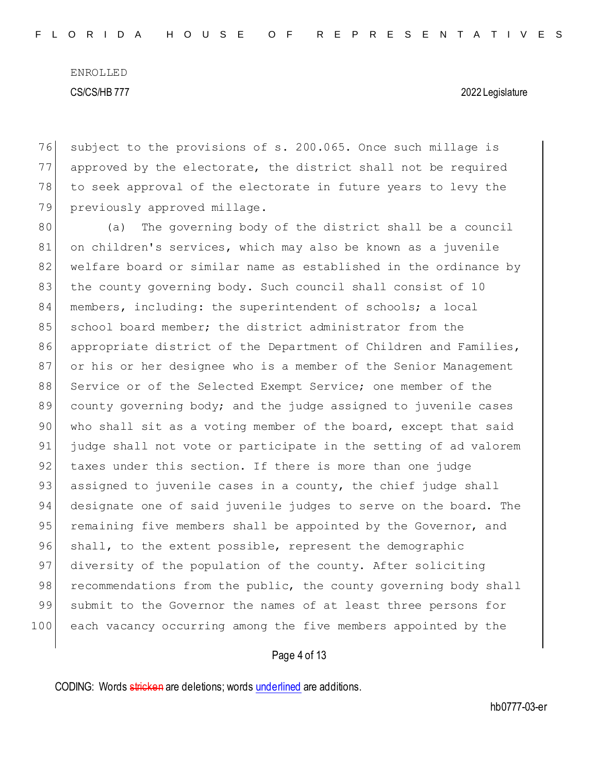subject to the provisions of s. 200.065. Once such millage is approved by the electorate, the district shall not be required to seek approval of the electorate in future years to levy the 79 previously approved millage.

80 (a) The governing body of the district shall be a council 81 on children's services, which may also be known as a juvenile 82 welfare board or similar name as established in the ordinance by 83 the county governing body. Such council shall consist of 10 84 members, including: the superintendent of schools; a local 85 school board member; the district administrator from the 86 appropriate district of the Department of Children and Families, 87 or his or her designee who is a member of the Senior Management 88 Service or of the Selected Exempt Service; one member of the 89 county governing body; and the judge assigned to juvenile cases 90 who shall sit as a voting member of the board, except that said 91 judge shall not vote or participate in the setting of ad valorem 92 taxes under this section. If there is more than one judge 93 assigned to juvenile cases in a county, the chief judge shall 94 designate one of said juvenile judges to serve on the board. The 95 remaining five members shall be appointed by the Governor, and 96 shall, to the extent possible, represent the demographic 97 diversity of the population of the county. After soliciting 98 recommendations from the public, the county governing body shall 99 submit to the Governor the names of at least three persons for 100 each vacancy occurring among the five members appointed by the

#### Page 4 of 13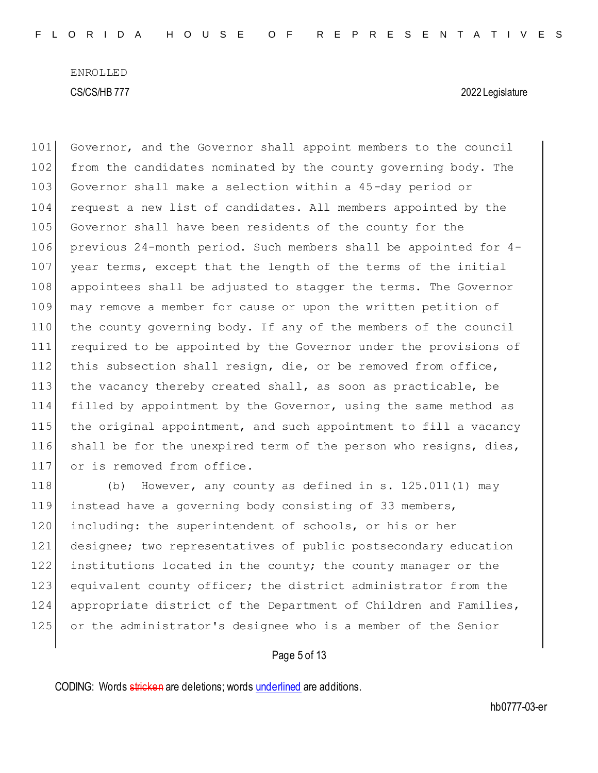101 Governor, and the Governor shall appoint members to the council 102 from the candidates nominated by the county governing body. The 103 Governor shall make a selection within a 45-day period or 104 request a new list of candidates. All members appointed by the 105 Governor shall have been residents of the county for the 106 previous 24-month period. Such members shall be appointed for 4- 107 year terms, except that the length of the terms of the initial 108 appointees shall be adjusted to stagger the terms. The Governor 109 may remove a member for cause or upon the written petition of 110 the county governing body. If any of the members of the council 111 required to be appointed by the Governor under the provisions of 112 this subsection shall resign, die, or be removed from office, 113 the vacancy thereby created shall, as soon as practicable, be 114 filled by appointment by the Governor, using the same method as 115 the original appointment, and such appointment to fill a vacancy 116 shall be for the unexpired term of the person who resigns, dies, 117 or is removed from office.

118 (b) However, any county as defined in s. 125.011(1) may instead have a governing body consisting of 33 members, 120 including: the superintendent of schools, or his or her designee; two representatives of public postsecondary education institutions located in the county; the county manager or the 123 equivalent county officer; the district administrator from the appropriate district of the Department of Children and Families, or the administrator's designee who is a member of the Senior

# Page 5 of 13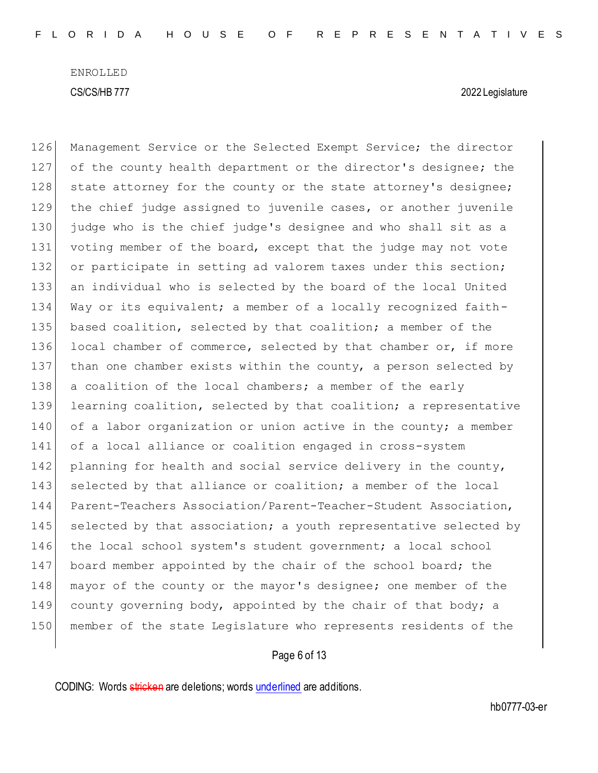126 Management Service or the Selected Exempt Service; the director 127 of the county health department or the director's designee; the 128 state attorney for the county or the state attorney's designee; 129 the chief judge assigned to juvenile cases, or another juvenile 130 judge who is the chief judge's designee and who shall sit as a 131 voting member of the board, except that the judge may not vote 132 or participate in setting ad valorem taxes under this section; 133 an individual who is selected by the board of the local United 134 Way or its equivalent; a member of a locally recognized faith-135 based coalition, selected by that coalition; a member of the 136 local chamber of commerce, selected by that chamber or, if more 137 than one chamber exists within the county, a person selected by 138 a coalition of the local chambers; a member of the early 139 learning coalition, selected by that coalition; a representative 140 of a labor organization or union active in the county; a member 141 of a local alliance or coalition engaged in cross-system 142 planning for health and social service delivery in the county, 143 selected by that alliance or coalition; a member of the local 144 Parent-Teachers Association/Parent-Teacher-Student Association, 145 selected by that association; a youth representative selected by 146 the local school system's student government; a local school 147 board member appointed by the chair of the school board; the 148 mayor of the county or the mayor's designee; one member of the 149 county governing body, appointed by the chair of that body; a 150 member of the state Legislature who represents residents of the

#### Page 6 of 13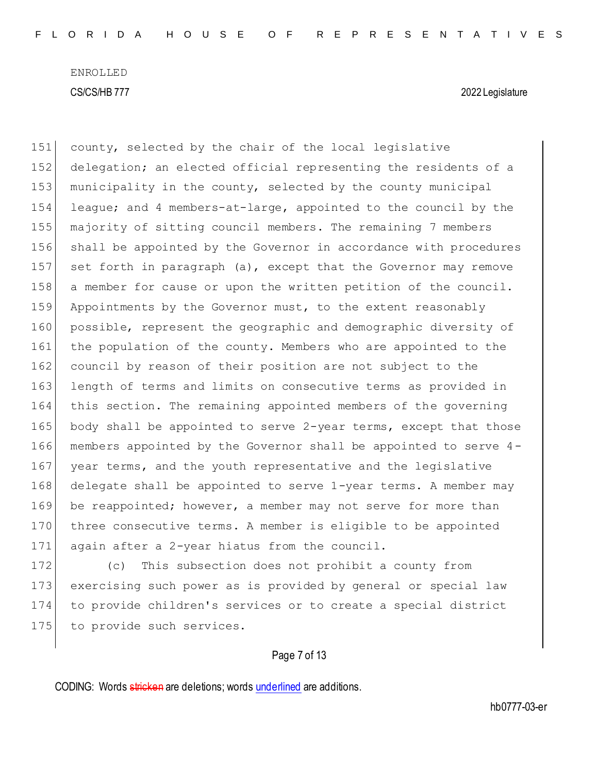151 county, selected by the chair of the local legislative 152 delegation; an elected official representing the residents of a 153 municipality in the county, selected by the county municipal 154 league; and 4 members-at-large, appointed to the council by the 155 majority of sitting council members. The remaining 7 members 156 shall be appointed by the Governor in accordance with procedures 157 set forth in paragraph (a), except that the Governor may remove 158 a member for cause or upon the written petition of the council. 159 Appointments by the Governor must, to the extent reasonably 160 possible, represent the geographic and demographic diversity of 161 the population of the county. Members who are appointed to the 162 council by reason of their position are not subject to the 163 length of terms and limits on consecutive terms as provided in 164 this section. The remaining appointed members of the governing 165 body shall be appointed to serve 2-year terms, except that those 166 members appointed by the Governor shall be appointed to serve 4- 167 year terms, and the youth representative and the legislative 168 delegate shall be appointed to serve 1-year terms. A member may 169 be reappointed; however, a member may not serve for more than 170 three consecutive terms. A member is eligible to be appointed 171 again after a 2-year hiatus from the council.

172 (c) This subsection does not prohibit a county from 173 exercising such power as is provided by general or special law 174 to provide children's services or to create a special district 175 to provide such services.

# Page 7 of 13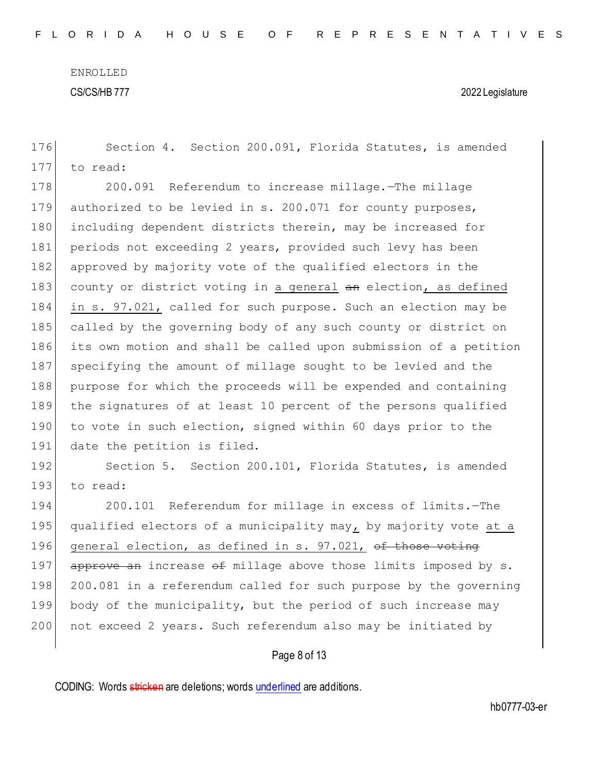176 Section 4. Section 200.091, Florida Statutes, is amended

ENROLLED CS/CS/HB 777 2022 Legislature

177 to read: 178 200.091 Referendum to increase millage. The millage 179 authorized to be levied in s. 200.071 for county purposes, 180 including dependent districts therein, may be increased for 181 periods not exceeding 2 years, provided such levy has been 182 approved by majority vote of the qualified electors in the 183 county or district voting in a general an election, as defined 184 in s. 97.021, called for such purpose. Such an election may be 185 called by the governing body of any such county or district on 186 its own motion and shall be called upon submission of a petition 187 specifying the amount of millage sought to be levied and the 188 purpose for which the proceeds will be expended and containing 189 the signatures of at least 10 percent of the persons qualified 190 to vote in such election, signed within 60 days prior to the 191 date the petition is filed. 192 Section 5. Section 200.101, Florida Statutes, is amended 193 to read: 194 200.101 Referendum for millage in excess of limits.—The 195 qualified electors of a municipality may, by majority vote at a 196 general election, as defined in s. 97.021, of those voting 197 approve an increase  $\theta$  millage above those limits imposed by s. 198 200.081 in a referendum called for such purpose by the governing 199 body of the municipality, but the period of such increase may 200 not exceed 2 years. Such referendum also may be initiated by

# Page 8 of 13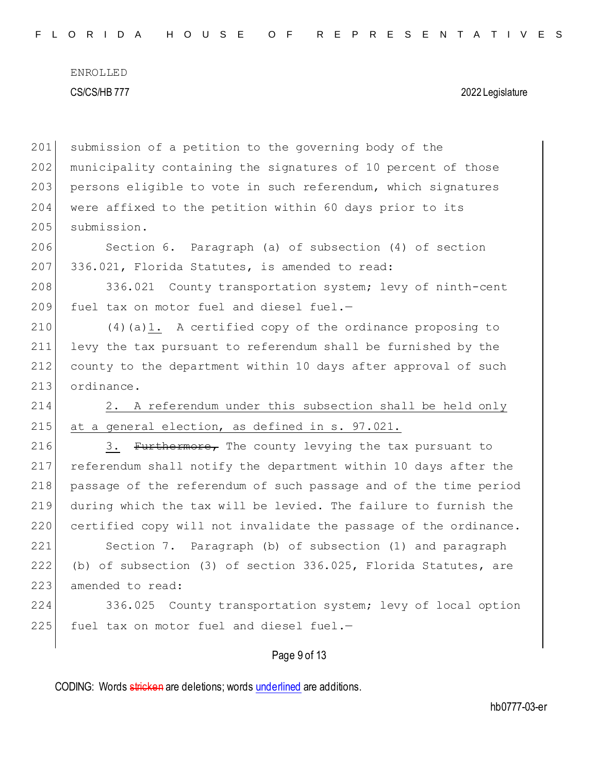201 submission of a petition to the governing body of the 202 municipality containing the signatures of 10 percent of those 203 persons eligible to vote in such referendum, which signatures 204 were affixed to the petition within 60 days prior to its 205 submission. 206 Section 6. Paragraph (a) of subsection (4) of section 207 336.021, Florida Statutes, is amended to read: 208 336.021 County transportation system; levy of ninth-cent 209 fuel tax on motor fuel and diesel fuel. $-$ 210  $(4)(a)1.$  A certified copy of the ordinance proposing to 211 levy the tax pursuant to referendum shall be furnished by the 212 county to the department within 10 days after approval of such 213 ordinance. 214 2. A referendum under this subsection shall be held only 215 at a general election, as defined in  $s. 97.021$ . 216 3. Furthermore, The county levying the tax pursuant to 217 referendum shall notify the department within 10 days after the 218 passage of the referendum of such passage and of the time period 219 during which the tax will be levied. The failure to furnish the 220 certified copy will not invalidate the passage of the ordinance. 221 Section 7. Paragraph (b) of subsection (1) and paragraph 222 (b) of subsection (3) of section 336.025, Florida Statutes, are 223 amended to read: 224 336.025 County transportation system; levy of local option  $225$  fuel tax on motor fuel and diesel fuel.-

Page 9 of 13

CODING: Words stricken are deletions; words underlined are additions.

hb0777-03-er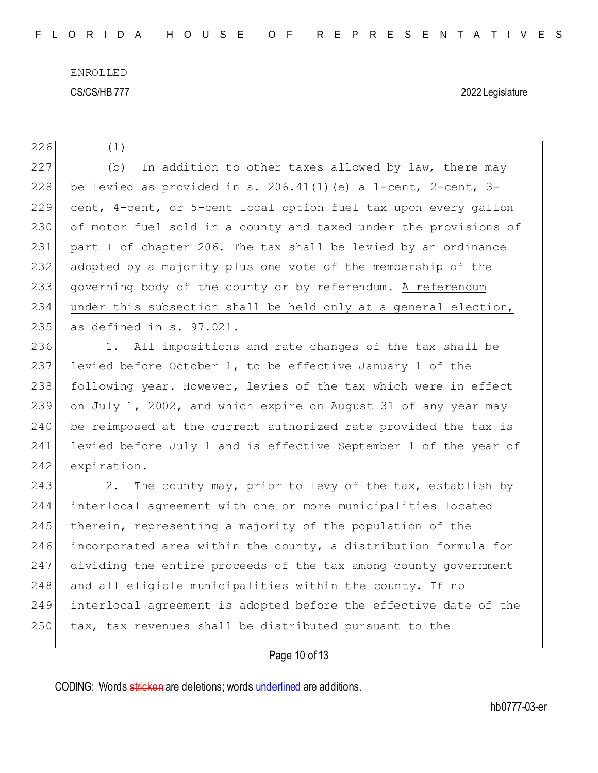226 (1)

227 (b) In addition to other taxes allowed by law, there may 228 be levied as provided in s. 206.41(1) (e) a 1-cent, 2-cent, 3-229 cent, 4-cent, or 5-cent local option fuel tax upon every gallon 230 of motor fuel sold in a county and taxed under the provisions of 231 part I of chapter 206. The tax shall be levied by an ordinance 232 adopted by a majority plus one vote of the membership of the 233 governing body of the county or by referendum. A referendum 234 under this subsection shall be held only at a general election, 235 as defined in s. 97.021.

236 1. All impositions and rate changes of the tax shall be 237 levied before October 1, to be effective January 1 of the 238 following year. However, levies of the tax which were in effect 239 on July 1, 2002, and which expire on August 31 of any year may 240 be reimposed at the current authorized rate provided the tax is 241 levied before July 1 and is effective September 1 of the year of 242 expiration.

243 243 2. The county may, prior to levy of the tax, establish by 244 interlocal agreement with one or more municipalities located 245 therein, representing a majority of the population of the 246 incorporated area within the county, a distribution formula for 247 dividing the entire proceeds of the tax among county government 248 and all eligible municipalities within the county. If no 249 interlocal agreement is adopted before the effective date of the 250 tax, tax revenues shall be distributed pursuant to the

# Page 10 of 13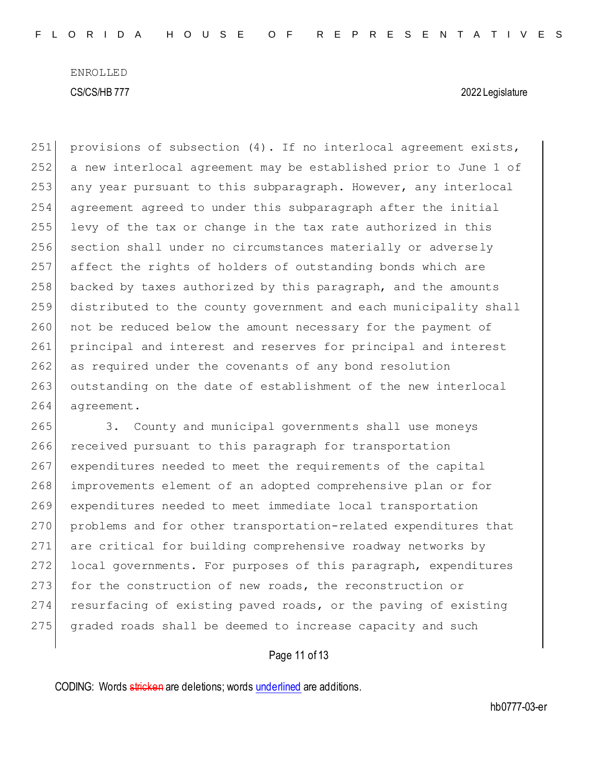251 provisions of subsection  $(4)$ . If no interlocal agreement exists, 252 a new interlocal agreement may be established prior to June 1 of 253 any year pursuant to this subparagraph. However, any interlocal 254 agreement agreed to under this subparagraph after the initial 255 levy of the tax or change in the tax rate authorized in this 256 section shall under no circumstances materially or adversely 257 affect the rights of holders of outstanding bonds which are  $258$  backed by taxes authorized by this paragraph, and the amounts 259 distributed to the county government and each municipality shall 260 not be reduced below the amount necessary for the payment of 261 principal and interest and reserves for principal and interest 262 as required under the covenants of any bond resolution 263 outstanding on the date of establishment of the new interlocal 264 agreement.

265 3. County and municipal governments shall use moneys 266 received pursuant to this paragraph for transportation 267 expenditures needed to meet the requirements of the capital 268 improvements element of an adopted comprehensive plan or for 269 expenditures needed to meet immediate local transportation 270 problems and for other transportation-related expenditures that 271 are critical for building comprehensive roadway networks by 272 local governments. For purposes of this paragraph, expenditures 273 for the construction of new roads, the reconstruction or 274 resurfacing of existing paved roads, or the paving of existing 275 graded roads shall be deemed to increase capacity and such

Page 11 of 13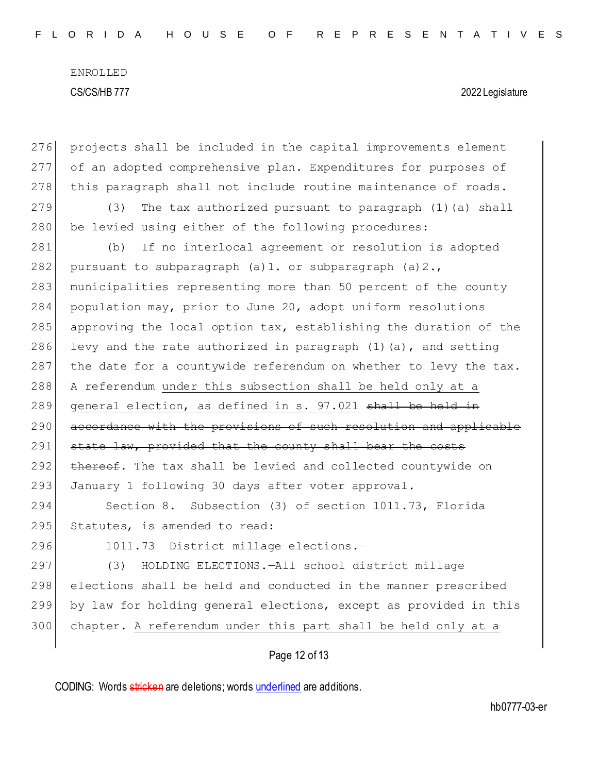| 276 | projects shall be included in the capital improvements element      |  |  |  |  |  |  |  |
|-----|---------------------------------------------------------------------|--|--|--|--|--|--|--|
| 277 | of an adopted comprehensive plan. Expenditures for purposes of      |  |  |  |  |  |  |  |
| 278 | this paragraph shall not include routine maintenance of roads.      |  |  |  |  |  |  |  |
| 279 | The tax authorized pursuant to paragraph (1) (a) shall<br>(3)       |  |  |  |  |  |  |  |
| 280 | be levied using either of the following procedures:                 |  |  |  |  |  |  |  |
| 281 | If no interlocal agreement or resolution is adopted<br>(b)          |  |  |  |  |  |  |  |
| 282 | pursuant to subparagraph $(a) 1$ . or subparagraph $(a) 2$ .        |  |  |  |  |  |  |  |
| 283 | municipalities representing more than 50 percent of the county      |  |  |  |  |  |  |  |
| 284 | population may, prior to June 20, adopt uniform resolutions         |  |  |  |  |  |  |  |
| 285 | approving the local option tax, establishing the duration of the    |  |  |  |  |  |  |  |
| 286 | levy and the rate authorized in paragraph $(1)$ $(a)$ , and setting |  |  |  |  |  |  |  |
| 287 | the date for a countywide referendum on whether to levy the tax.    |  |  |  |  |  |  |  |
| 288 | A referendum under this subsection shall be held only at a          |  |  |  |  |  |  |  |
| 289 | general election, as defined in s. 97.021 shall be held in          |  |  |  |  |  |  |  |
| 290 | accordance with the provisions of such resolution and applicable    |  |  |  |  |  |  |  |
| 291 | state law, provided that the county shall bear the costs            |  |  |  |  |  |  |  |
| 292 | thereof. The tax shall be levied and collected countywide on        |  |  |  |  |  |  |  |
| 293 | January 1 following 30 days after voter approval.                   |  |  |  |  |  |  |  |
| 294 | Section 8. Subsection (3) of section 1011.73, Florida               |  |  |  |  |  |  |  |
| 295 | Statutes, is amended to read:                                       |  |  |  |  |  |  |  |
| 296 | 1011.73 District millage elections.-                                |  |  |  |  |  |  |  |
| 297 | HOLDING ELECTIONS.-All school district millage<br>(3)               |  |  |  |  |  |  |  |
| 298 | elections shall be held and conducted in the manner prescribed      |  |  |  |  |  |  |  |
| 299 | by law for holding general elections, except as provided in this    |  |  |  |  |  |  |  |
| 300 | chapter. A referendum under this part shall be held only at a       |  |  |  |  |  |  |  |
|     | Page 12 of 13                                                       |  |  |  |  |  |  |  |